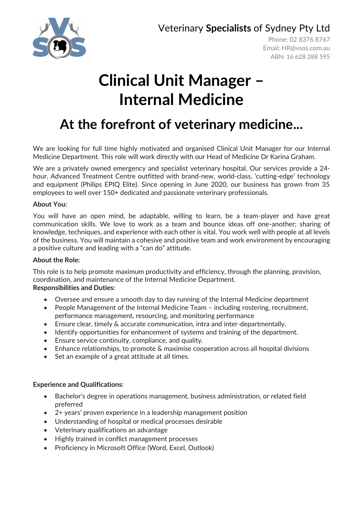Veterinary **Specialists** of Sydney Pty Ltd



Phone: 02 8376 8767 Email: [HR@vsos.com.au](mailto:HR@vsos.com.au) ABN: 16 628 288 595

# **Clinical Unit Manager – Internal Medicine**

## **At the forefront of veterinary medicine...**

We are looking for full time highly motivated and organised Clinical Unit Manager for our Internal Medicine Department. This role will work directly with our Head of Medicine Dr Karina Graham.

We are a privately owned emergency and specialist veterinary hospital. Our services provide a 24 hour, Advanced Treatment Centre outfitted with brand-new, world-class, 'cutting-edge' technology and equipment (Philips EPIQ Elite). Since opening in June 2020, our business has grown from 35 employees to well over 150+ dedicated and passionate veterinary professionals.

#### **About You:**

You will have an open mind, be adaptable, willing to learn, be a team-player and have great communication skills. We love to work as a team and bounce ideas off one-another; sharing of knowledge, techniques, and experience with each other is vital. You work well with people at all levels of the business. You will maintain a cohesive and positive team and work environment by encouraging a positive culture and leading with a "can do" attitude.

#### **About the Role:**

This role is to help promote maximum productivity and efficiency, through the planning, provision, coordination, and maintenance of the Internal Medicine Department. **Responsibilities and Duties:**

- Oversee and ensure a smooth day to day running of the Internal Medicine department
- People Management of the Internal Medicine Team including rostering, recruitment, performance management, resourcing, and monitoring performance
- Ensure clear, timely & accurate communication, intra and inter-departmentally.
- Identify opportunities for enhancement of systems and training of the department.
- Ensure service continuity, compliance, and quality.
- Enhance relationships, to promote & maximise cooperation across all hospital divisions
- Set an example of a great attitude at all times.

#### **Experience and Qualifications:**

- Bachelor's degree in operations management, business administration, or related field preferred
- 2+ years' proven experience in a leadership management position
- Understanding of hospital or medical processes desirable
- Veterinary qualifications an advantage
- Highly trained in conflict management processes
- Proficiency in Microsoft Office (Word, Excel, Outlook)